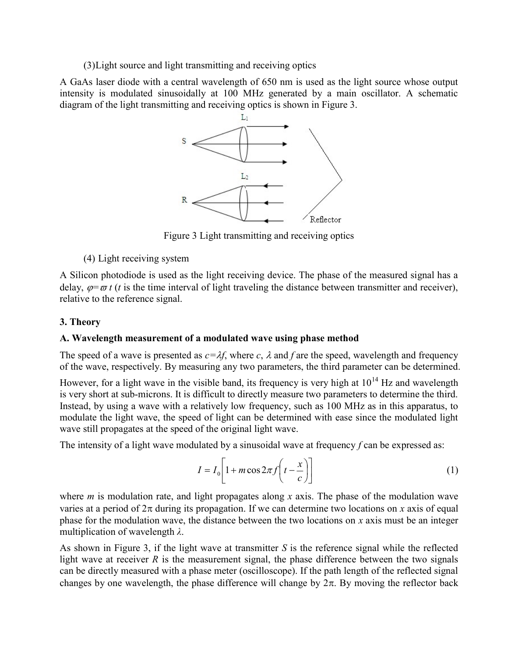(3)Light source and light transmitting and receiving optics

A GaAs laser diode with a central wavelength of 650 nm is used as the light source whose output intensity is modulated sinusoidally at 100 MHz generated by a main oscillator. A schematic diagram of the light transmitting and receiving optics is shown in Figure 3.



Figure 3 Light transmitting and receiving optics

## (4) Light receiving system

A Silicon photodiode is used as the light receiving device. The phase of the measured signal has a delay,  $\varphi = \varpi t$  (t is the time interval of light traveling the distance between transmitter and receiver), relative to the reference signal.

# 3. Theory

### A. Wavelength measurement of a modulated wave using phase method

The speed of a wave is presented as  $c=\lambda f$ , where c,  $\lambda$  and f are the speed, wavelength and frequency of the wave, respectively. By measuring any two parameters, the third parameter can be determined.

However, for a light wave in the visible band, its frequency is very high at  $10^{14}$  Hz and wavelength is very short at sub-microns. It is difficult to directly measure two parameters to determine the third. Instead, by using a wave with a relatively low frequency, such as 100 MHz as in this apparatus, to modulate the light wave, the speed of light can be determined with ease since the modulated light wave still propagates at the speed of the original light wave.

The intensity of a light wave modulated by a sinusoidal wave at frequency  $f$  can be expressed as:

$$
I = I_0 \left[ 1 + m \cos 2\pi f \left( t - \frac{x}{c} \right) \right]
$$
 (1)

where  $m$  is modulation rate, and light propagates along x axis. The phase of the modulation wave varies at a period of  $2\pi$  during its propagation. If we can determine two locations on x axis of equal phase for the modulation wave, the distance between the two locations on  $x$  axis must be an integer multiplication of wavelength  $\lambda$ .

As shown in Figure 3, if the light wave at transmitter  $S$  is the reference signal while the reflected light wave at receiver  $R$  is the measurement signal, the phase difference between the two signals can be directly measured with a phase meter (oscilloscope). If the path length of the reflected signal changes by one wavelength, the phase difference will change by  $2\pi$ . By moving the reflector back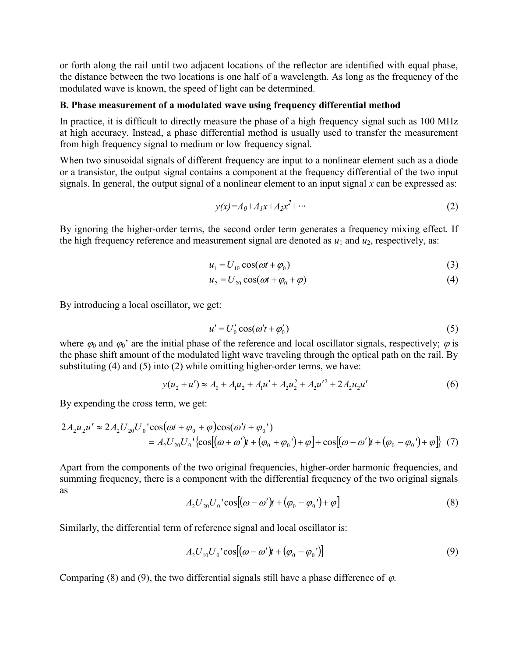or forth along the rail until two adjacent locations of the reflector are identified with equal phase, the distance between the two locations is one half of a wavelength. As long as the frequency of the modulated wave is known, the speed of light can be determined.

#### B. Phase measurement of a modulated wave using frequency differential method

In practice, it is difficult to directly measure the phase of a high frequency signal such as 100 MHz at high accuracy. Instead, a phase differential method is usually used to transfer the measurement from high frequency signal to medium or low frequency signal.

When two sinusoidal signals of different frequency are input to a nonlinear element such as a diode or a transistor, the output signal contains a component at the frequency differential of the two input signals. In general, the output signal of a nonlinear element to an input signal  $x$  can be expressed as:

$$
y(x)=A_0+A_1x+A_2x^2+\cdots
$$
 (2)

By ignoring the higher-order terms, the second order term generates a frequency mixing effect. If the high frequency reference and measurement signal are denoted as  $u_1$  and  $u_2$ , respectively, as:

$$
u_1 = U_{10} \cos(\omega t + \varphi_0) \tag{3}
$$

$$
u_2 = U_{20} \cos(\omega t + \varphi_0 + \varphi) \tag{4}
$$

By introducing a local oscillator, we get:

$$
u' = U_0' \cos(\omega' t + \varphi_0') \tag{5}
$$

where  $\varphi_0$  and  $\varphi_0'$  are the initial phase of the reference and local oscillator signals, respectively;  $\varphi$  is the phase shift amount of the modulated light wave traveling through the optical path on the rail. By substituting (4) and (5) into (2) while omitting higher-order terms, we have:

$$
y(u_2 + u') \approx A_0 + A_1 u_2 + A_1 u' + A_2 u_2^2 + A_2 u'^2 + 2A_2 u_2 u'
$$
 (6)

By expending the cross term, we get:

$$
2A_2u_2u' \approx 2A_2U_{20}U_0'\cos(\omega t + \varphi_0 + \varphi)\cos(\omega' t + \varphi_0')
$$
  
=  $A_2U_{20}U_0'\cos[(\omega + \omega')t + (\varphi_0 + \varphi_0') + \varphi] + \cos[(\omega - \omega')t + (\varphi_0 - \varphi_0') + \varphi]\}$  (7)

Apart from the components of the two original frequencies, higher-order harmonic frequencies, and summing frequency, there is a component with the differential frequency of the two original signals as

$$
A_2 U_{20} U_0 \text{ 'cos} [(\omega - \omega')t + (\varphi_0 - \varphi_0') + \varphi]
$$
 (8)

Similarly, the differential term of reference signal and local oscillator is:

$$
A_2 U_{10} U_0 \text{ 'cos} [(\omega - \omega')t + (\varphi_0 - \varphi_0')]
$$
 (9)

Comparing (8) and (9), the two differential signals still have a phase difference of  $\varphi$ .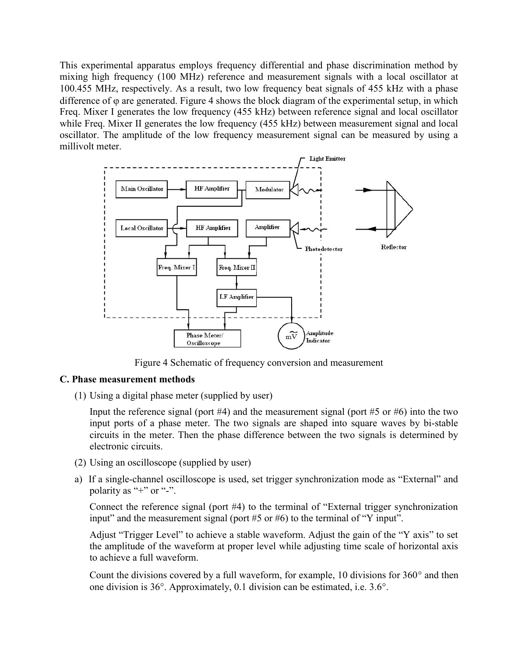This experimental apparatus employs frequency differential and phase discrimination method by mixing high frequency (100 MHz) reference and measurement signals with a local oscillator at 100.455 MHz, respectively. As a result, two low frequency beat signals of 455 kHz with a phase difference of  $\varphi$  are generated. Figure 4 shows the block diagram of the experimental setup, in which Freq. Mixer I generates the low frequency (455 kHz) between reference signal and local oscillator while Freq. Mixer II generates the low frequency (455 kHz) between measurement signal and local oscillator. The amplitude of the low frequency measurement signal can be measured by using a millivolt meter.



Figure 4 Schematic of frequency conversion and measurement

### C. Phase measurement methods

(1) Using a digital phase meter (supplied by user)

Input the reference signal (port  $#4$ ) and the measurement signal (port  $#5$  or  $#6$ ) into the two input ports of a phase meter. The two signals are shaped into square waves by bi-stable circuits in the meter. Then the phase difference between the two signals is determined by electronic circuits.

- (2) Using an oscilloscope (supplied by user)
- a) If a single-channel oscilloscope is used, set trigger synchronization mode as "External" and polarity as "+" or "-".

Connect the reference signal (port #4) to the terminal of "External trigger synchronization input" and the measurement signal (port  $#5$  or  $#6$ ) to the terminal of "Y input".

Adjust "Trigger Level" to achieve a stable waveform. Adjust the gain of the "Y axis" to set the amplitude of the waveform at proper level while adjusting time scale of horizontal axis to achieve a full waveform.

Count the divisions covered by a full waveform, for example, 10 divisions for  $360^{\circ}$  and then one division is  $36^\circ$ . Approximately, 0.1 division can be estimated, i.e.  $3.6^\circ$ .